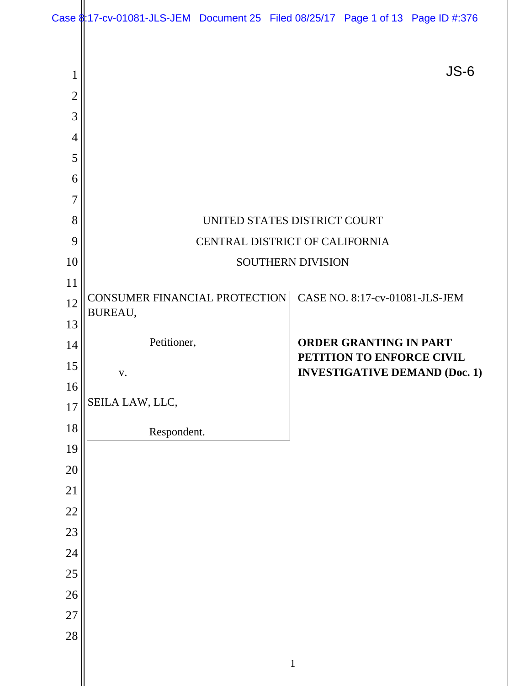|                     | Case \$17-cv-01081-JLS-JEM Document 25 Filed 08/25/17 Page 1 of 13 Page ID #:376 |  |  |                                                            |        |
|---------------------|----------------------------------------------------------------------------------|--|--|------------------------------------------------------------|--------|
| 1<br>$\overline{2}$ |                                                                                  |  |  |                                                            | $JS-6$ |
| 3                   |                                                                                  |  |  |                                                            |        |
| $\overline{4}$      |                                                                                  |  |  |                                                            |        |
| 5                   |                                                                                  |  |  |                                                            |        |
| 6                   |                                                                                  |  |  |                                                            |        |
| $\overline{7}$      |                                                                                  |  |  |                                                            |        |
| 8                   | UNITED STATES DISTRICT COURT                                                     |  |  |                                                            |        |
| 9                   | CENTRAL DISTRICT OF CALIFORNIA                                                   |  |  |                                                            |        |
| 10                  | SOUTHERN DIVISION                                                                |  |  |                                                            |        |
| 11                  | CONSUMER FINANCIAL PROTECTION                                                    |  |  | CASE NO. 8:17-cv-01081-JLS-JEM                             |        |
| 12                  | BUREAU,                                                                          |  |  |                                                            |        |
| 13                  |                                                                                  |  |  |                                                            |        |
| 14                  | Petitioner,                                                                      |  |  | <b>ORDER GRANTING IN PART</b><br>PETITION TO ENFORCE CIVIL |        |
| 15                  | V.                                                                               |  |  | <b>INVESTIGATIVE DEMAND (Doc. 1)</b>                       |        |
| 16                  | SEILA LAW, LLC,                                                                  |  |  |                                                            |        |
| 17                  |                                                                                  |  |  |                                                            |        |
| 18                  | Respondent.                                                                      |  |  |                                                            |        |
| 19<br>20            |                                                                                  |  |  |                                                            |        |
| 21                  |                                                                                  |  |  |                                                            |        |
| $22\,$              |                                                                                  |  |  |                                                            |        |
| 23                  |                                                                                  |  |  |                                                            |        |
| 24                  |                                                                                  |  |  |                                                            |        |
| 25                  |                                                                                  |  |  |                                                            |        |
| 26                  |                                                                                  |  |  |                                                            |        |
| 27                  |                                                                                  |  |  |                                                            |        |
| 28                  |                                                                                  |  |  |                                                            |        |
|                     |                                                                                  |  |  |                                                            |        |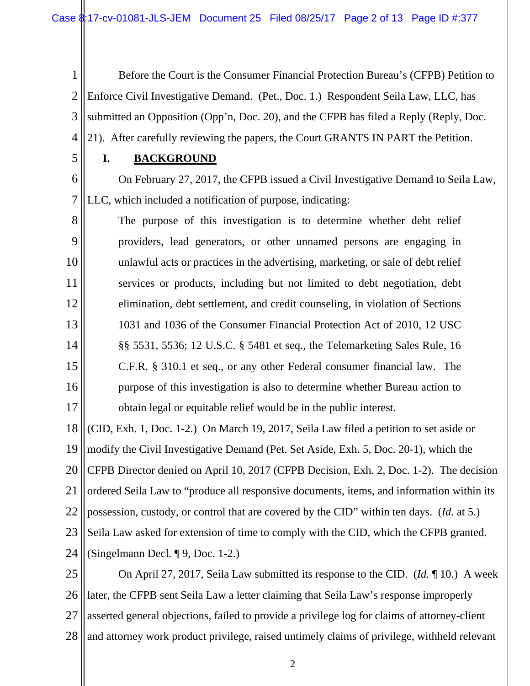1 2 3 4 Before the Court is the Consumer Financial Protection Bureau's (CFPB) Petition to Enforce Civil Investigative Demand. (Pet., Doc. 1.) Respondent Seila Law, LLC, has submitted an Opposition (Opp'n, Doc. 20), and the CFPB has filed a Reply (Reply, Doc. 21). After carefully reviewing the papers, the Court GRANTS IN PART the Petition.

5

## **I. BACKGROUND**

6 7 On February 27, 2017, the CFPB issued a Civil Investigative Demand to Seila Law, LLC, which included a notification of purpose, indicating:

8 9 10 11 12 13 14 15 16 17 The purpose of this investigation is to determine whether debt relief providers, lead generators, or other unnamed persons are engaging in unlawful acts or practices in the advertising, marketing, or sale of debt relief services or products, including but not limited to debt negotiation, debt elimination, debt settlement, and credit counseling, in violation of Sections 1031 and 1036 of the Consumer Financial Protection Act of 2010, 12 USC §§ 5531, 5536; 12 U.S.C. § 5481 et seq., the Telemarketing Sales Rule, 16 C.F.R. § 310.1 et seq., or any other Federal consumer financial law. The purpose of this investigation is also to determine whether Bureau action to obtain legal or equitable relief would be in the public interest.

18 19 20 21 22 23 24 (CID, Exh. 1, Doc. 1-2.) On March 19, 2017, Seila Law filed a petition to set aside or modify the Civil Investigative Demand (Pet. Set Aside, Exh. 5, Doc. 20-1), which the CFPB Director denied on April 10, 2017 (CFPB Decision, Exh. 2, Doc. 1-2). The decision ordered Seila Law to "produce all responsive documents, items, and information within its possession, custody, or control that are covered by the CID" within ten days. (*Id.* at 5.) Seila Law asked for extension of time to comply with the CID, which the CFPB granted. (Singelmann Decl. ¶ 9, Doc. 1-2.)

25 26 27 28 On April 27, 2017, Seila Law submitted its response to the CID. (*Id.* ¶ 10.) A week later, the CFPB sent Seila Law a letter claiming that Seila Law's response improperly asserted general objections, failed to provide a privilege log for claims of attorney-client and attorney work product privilege, raised untimely claims of privilege, withheld relevant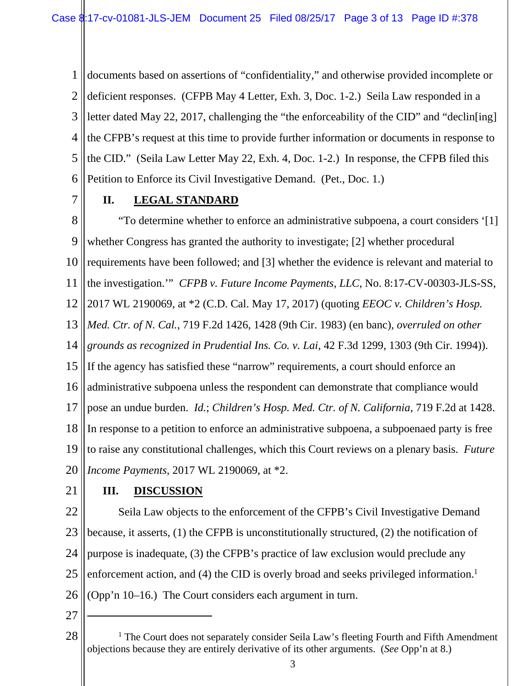1 2 3 4 5 6 documents based on assertions of "confidentiality," and otherwise provided incomplete or deficient responses. (CFPB May 4 Letter, Exh. 3, Doc. 1-2.) Seila Law responded in a letter dated May 22, 2017, challenging the "the enforceability of the CID" and "declin[ing] the CFPB's request at this time to provide further information or documents in response to the CID." (Seila Law Letter May 22, Exh. 4, Doc. 1-2.) In response, the CFPB filed this Petition to Enforce its Civil Investigative Demand. (Pet., Doc. 1.)

7

# **II. LEGAL STANDARD**

8 9 10 11 12 13 14 15 16 17 18 19 20 "To determine whether to enforce an administrative subpoena, a court considers '[1] whether Congress has granted the authority to investigate; [2] whether procedural requirements have been followed; and [3] whether the evidence is relevant and material to the investigation.'" *CFPB v. Future Income Payments, LLC*, No. 8:17-CV-00303-JLS-SS, 2017 WL 2190069, at \*2 (C.D. Cal. May 17, 2017) (quoting *EEOC v. Children's Hosp. Med. Ctr. of N. Cal.*, 719 F.2d 1426, 1428 (9th Cir. 1983) (en banc), *overruled on other grounds as recognized in Prudential Ins. Co. v. Lai*, 42 F.3d 1299, 1303 (9th Cir. 1994)). If the agency has satisfied these "narrow" requirements, a court should enforce an administrative subpoena unless the respondent can demonstrate that compliance would pose an undue burden. *Id.*; *Children's Hosp. Med. Ctr. of N. California*, 719 F.2d at 1428. In response to a petition to enforce an administrative subpoena, a subpoenaed party is free to raise any constitutional challenges, which this Court reviews on a plenary basis. *Future Income Payments*, 2017 WL 2190069, at \*2.

21

## **III. DISCUSSION**

22 23 24 25 26 Seila Law objects to the enforcement of the CFPB's Civil Investigative Demand because, it asserts, (1) the CFPB is unconstitutionally structured, (2) the notification of purpose is inadequate, (3) the CFPB's practice of law exclusion would preclude any enforcement action, and (4) the CID is overly broad and seeks privileged information.<sup>1</sup> (Opp'n 10–16.) The Court considers each argument in turn.

27

 $\overline{a}$ 

28 <sup>1</sup> The Court does not separately consider Seila Law's fleeting Fourth and Fifth Amendment objections because they are entirely derivative of its other arguments. (*See* Opp'n at 8.)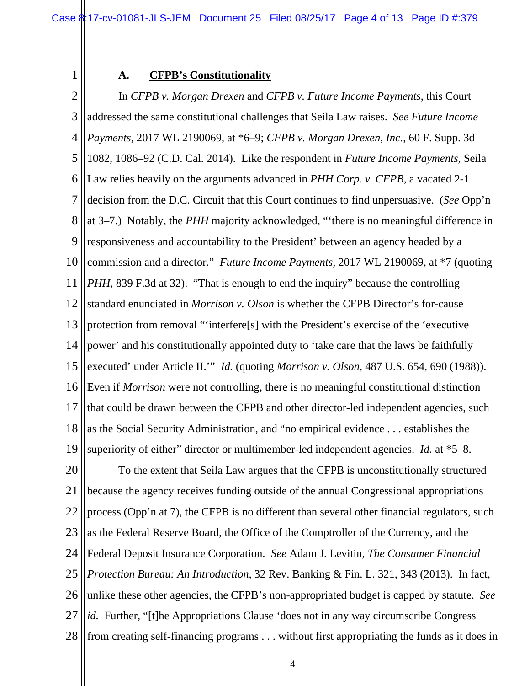1

## **A. CFPB's Constitutionality**

2 3 4 5 6 7 8 9 10 11 12 13 14 15 16 17 18 19 In *CFPB v. Morgan Drexen* and *CFPB v. Future Income Payments*, this Court addressed the same constitutional challenges that Seila Law raises. *See Future Income Payments*, 2017 WL 2190069, at \*6–9; *CFPB v. Morgan Drexen, Inc.*, 60 F. Supp. 3d 1082, 1086–92 (C.D. Cal. 2014). Like the respondent in *Future Income Payments*, Seila Law relies heavily on the arguments advanced in *PHH Corp. v. CFPB*, a vacated 2-1 decision from the D.C. Circuit that this Court continues to find unpersuasive. (*See* Opp'n at 3–7.) Notably, the *PHH* majority acknowledged, "'there is no meaningful difference in responsiveness and accountability to the President' between an agency headed by a commission and a director." *Future Income Payments*, 2017 WL 2190069, at \*7 (quoting *PHH*, 839 F.3d at 32). "That is enough to end the inquiry" because the controlling standard enunciated in *Morrison v. Olson* is whether the CFPB Director's for-cause protection from removal "'interfere[s] with the President's exercise of the 'executive power' and his constitutionally appointed duty to 'take care that the laws be faithfully executed' under Article II.'" *Id.* (quoting *Morrison v. Olson*, 487 U.S. 654, 690 (1988)). Even if *Morrison* were not controlling, there is no meaningful constitutional distinction that could be drawn between the CFPB and other director-led independent agencies, such as the Social Security Administration, and "no empirical evidence . . . establishes the superiority of either" director or multimember-led independent agencies. *Id.* at \*5–8.

20 21 22 23 24 25 26 27 28 To the extent that Seila Law argues that the CFPB is unconstitutionally structured because the agency receives funding outside of the annual Congressional appropriations process (Opp'n at 7), the CFPB is no different than several other financial regulators, such as the Federal Reserve Board, the Office of the Comptroller of the Currency, and the Federal Deposit Insurance Corporation. *See* Adam J. Levitin, *The Consumer Financial Protection Bureau: An Introduction,* 32 Rev. Banking & Fin. L. 321, 343 (2013). In fact, unlike these other agencies, the CFPB's non-appropriated budget is capped by statute. *See id.* Further, "[t]he Appropriations Clause 'does not in any way circumscribe Congress from creating self-financing programs . . . without first appropriating the funds as it does in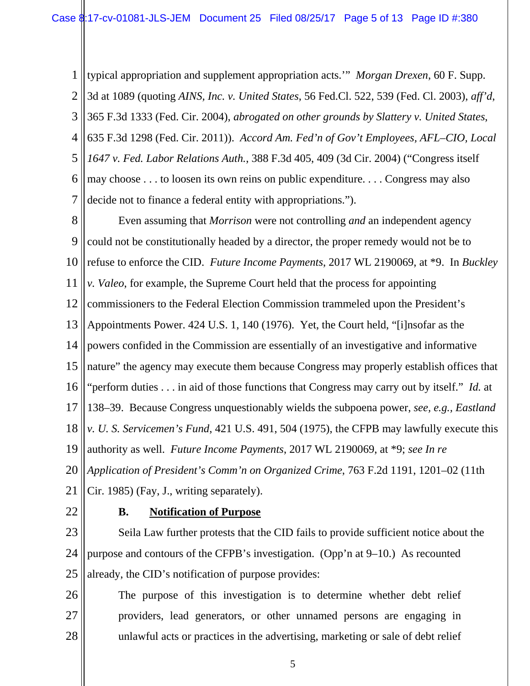1 2 3 4 5 6 7 typical appropriation and supplement appropriation acts.'" *Morgan Drexen*, 60 F. Supp. 3d at 1089 (quoting *AINS, Inc. v. United States*, 56 Fed.Cl. 522, 539 (Fed. Cl. 2003), *aff'd*, 365 F.3d 1333 (Fed. Cir. 2004), *abrogated on other grounds by Slattery v. United States*, 635 F.3d 1298 (Fed. Cir. 2011)). *Accord Am. Fed'n of Gov't Employees, AFL–CIO, Local 1647 v. Fed. Labor Relations Auth.*, 388 F.3d 405, 409 (3d Cir. 2004) ("Congress itself may choose . . . to loosen its own reins on public expenditure. . . . Congress may also decide not to finance a federal entity with appropriations.").

8 9 10 11 12 13 14 15 16 17 18 19 20 21 Even assuming that *Morrison* were not controlling *and* an independent agency could not be constitutionally headed by a director, the proper remedy would not be to refuse to enforce the CID. *Future Income Payments*, 2017 WL 2190069, at \*9. In *Buckley v. Valeo*, for example, the Supreme Court held that the process for appointing commissioners to the Federal Election Commission trammeled upon the President's Appointments Power. 424 U.S. 1, 140 (1976). Yet, the Court held, "[i]nsofar as the powers confided in the Commission are essentially of an investigative and informative nature" the agency may execute them because Congress may properly establish offices that "perform duties . . . in aid of those functions that Congress may carry out by itself." *Id.* at 138–39. Because Congress unquestionably wields the subpoena power, *see, e.g., Eastland v. U. S. Servicemen's Fund*, 421 U.S. 491, 504 (1975), the CFPB may lawfully execute this authority as well. *Future Income Payments*, 2017 WL 2190069, at \*9; *see In re Application of President's Comm'n on Organized Crime*, 763 F.2d 1191, 1201–02 (11th Cir. 1985) (Fay, J., writing separately).

22

## **B. Notification of Purpose**

23 24 25 Seila Law further protests that the CID fails to provide sufficient notice about the purpose and contours of the CFPB's investigation. (Opp'n at 9–10.) As recounted already, the CID's notification of purpose provides:

26 27 28 The purpose of this investigation is to determine whether debt relief providers, lead generators, or other unnamed persons are engaging in unlawful acts or practices in the advertising, marketing or sale of debt relief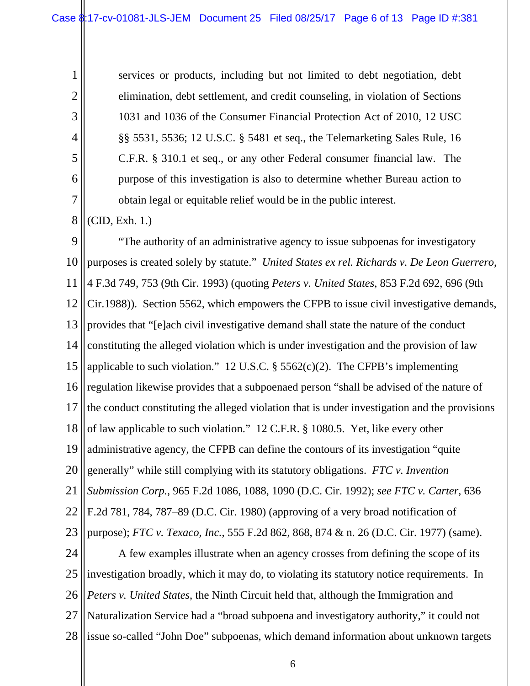services or products, including but not limited to debt negotiation, debt elimination, debt settlement, and credit counseling, in violation of Sections 1031 and 1036 of the Consumer Financial Protection Act of 2010, 12 USC §§ 5531, 5536; 12 U.S.C. § 5481 et seq., the Telemarketing Sales Rule, 16 C.F.R. § 310.1 et seq., or any other Federal consumer financial law. The purpose of this investigation is also to determine whether Bureau action to obtain legal or equitable relief would be in the public interest.

8 (CID, Exh. 1.)

1

2

3

4

5

6

7

9 10 11 12 13 14 15 16 17 18 19 20 21 22 23 24 25 26 27 28 "The authority of an administrative agency to issue subpoenas for investigatory purposes is created solely by statute." *United States ex rel. Richards v. De Leon Guerrero*, 4 F.3d 749, 753 (9th Cir. 1993) (quoting *Peters v. United States*, 853 F.2d 692, 696 (9th Cir.1988)). Section 5562, which empowers the CFPB to issue civil investigative demands, provides that "[e]ach civil investigative demand shall state the nature of the conduct constituting the alleged violation which is under investigation and the provision of law applicable to such violation." 12 U.S.C.  $\S$  5562(c)(2). The CFPB's implementing regulation likewise provides that a subpoenaed person "shall be advised of the nature of the conduct constituting the alleged violation that is under investigation and the provisions of law applicable to such violation." 12 C.F.R. § 1080.5. Yet, like every other administrative agency, the CFPB can define the contours of its investigation "quite generally" while still complying with its statutory obligations. *FTC v. Invention Submission Corp.*, 965 F.2d 1086, 1088, 1090 (D.C. Cir. 1992); *see FTC v. Carter*, 636 F.2d 781, 784, 787–89 (D.C. Cir. 1980) (approving of a very broad notification of purpose); *FTC v. Texaco, Inc.*, 555 F.2d 862, 868, 874 & n. 26 (D.C. Cir. 1977) (same). A few examples illustrate when an agency crosses from defining the scope of its investigation broadly, which it may do, to violating its statutory notice requirements. In *Peters v. United States*, the Ninth Circuit held that, although the Immigration and Naturalization Service had a "broad subpoena and investigatory authority," it could not issue so-called "John Doe" subpoenas, which demand information about unknown targets

6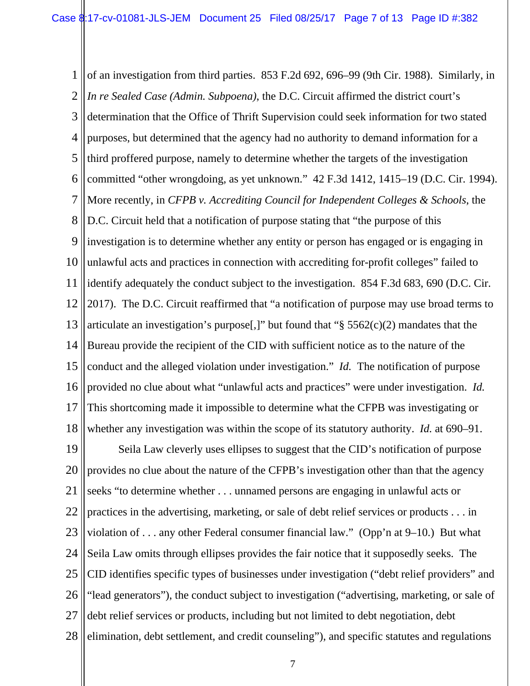1 2 3 4 5 6 7 8 9 10 11 12 13 14 15 16 17 18 of an investigation from third parties. 853 F.2d 692, 696–99 (9th Cir. 1988). Similarly, in *In re Sealed Case (Admin. Subpoena)*, the D.C. Circuit affirmed the district court's determination that the Office of Thrift Supervision could seek information for two stated purposes, but determined that the agency had no authority to demand information for a third proffered purpose, namely to determine whether the targets of the investigation committed "other wrongdoing, as yet unknown." 42 F.3d 1412, 1415–19 (D.C. Cir. 1994). More recently, in *CFPB v. Accrediting Council for Independent Colleges & Schools*, the D.C. Circuit held that a notification of purpose stating that "the purpose of this investigation is to determine whether any entity or person has engaged or is engaging in unlawful acts and practices in connection with accrediting for-profit colleges" failed to identify adequately the conduct subject to the investigation. 854 F.3d 683, 690 (D.C. Cir. 2017). The D.C. Circuit reaffirmed that "a notification of purpose may use broad terms to articulate an investigation's purpose[,]" but found that " $\S 5562(c)(2)$  mandates that the Bureau provide the recipient of the CID with sufficient notice as to the nature of the conduct and the alleged violation under investigation." *Id.* The notification of purpose provided no clue about what "unlawful acts and practices" were under investigation. *Id.* This shortcoming made it impossible to determine what the CFPB was investigating or whether any investigation was within the scope of its statutory authority. *Id.* at 690–91.

19 20 21 22 23 24 25 26 27 28 Seila Law cleverly uses ellipses to suggest that the CID's notification of purpose provides no clue about the nature of the CFPB's investigation other than that the agency seeks "to determine whether . . . unnamed persons are engaging in unlawful acts or practices in the advertising, marketing, or sale of debt relief services or products . . . in violation of . . . any other Federal consumer financial law." (Opp'n at 9–10.) But what Seila Law omits through ellipses provides the fair notice that it supposedly seeks. The CID identifies specific types of businesses under investigation ("debt relief providers" and "lead generators"), the conduct subject to investigation ("advertising, marketing, or sale of debt relief services or products, including but not limited to debt negotiation, debt elimination, debt settlement, and credit counseling"), and specific statutes and regulations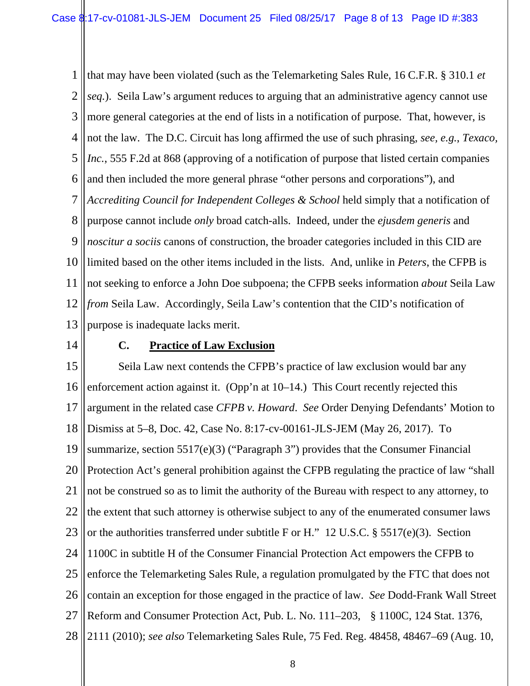1 2 3 4 5 6 7 8 9 10 11 12 13 that may have been violated (such as the Telemarketing Sales Rule, 16 C.F.R. § 310.1 *et seq.*). Seila Law's argument reduces to arguing that an administrative agency cannot use more general categories at the end of lists in a notification of purpose. That, however, is not the law. The D.C. Circuit has long affirmed the use of such phrasing, *see, e.g.*, *Texaco, Inc.*, 555 F.2d at 868 (approving of a notification of purpose that listed certain companies and then included the more general phrase "other persons and corporations"), and *Accrediting Council for Independent Colleges & School* held simply that a notification of purpose cannot include *only* broad catch-alls. Indeed, under the *ejusdem generis* and *noscitur a sociis* canons of construction, the broader categories included in this CID are limited based on the other items included in the lists. And, unlike in *Peters*, the CFPB is not seeking to enforce a John Doe subpoena; the CFPB seeks information *about* Seila Law *from* Seila Law. Accordingly, Seila Law's contention that the CID's notification of purpose is inadequate lacks merit.

14

#### **C. Practice of Law Exclusion**

15 16 17 18 19 20 21 22 23 24 25 26 27 28 Seila Law next contends the CFPB's practice of law exclusion would bar any enforcement action against it. (Opp'n at 10–14.) This Court recently rejected this argument in the related case *CFPB v. Howard*. *See* Order Denying Defendants' Motion to Dismiss at 5–8, Doc. 42, Case No. 8:17-cv-00161-JLS-JEM (May 26, 2017). To summarize, section 5517(e)(3) ("Paragraph 3") provides that the Consumer Financial Protection Act's general prohibition against the CFPB regulating the practice of law "shall not be construed so as to limit the authority of the Bureau with respect to any attorney, to the extent that such attorney is otherwise subject to any of the enumerated consumer laws or the authorities transferred under subtitle F or H." 12 U.S.C. § 5517(e)(3). Section 1100C in subtitle H of the Consumer Financial Protection Act empowers the CFPB to enforce the Telemarketing Sales Rule, a regulation promulgated by the FTC that does not contain an exception for those engaged in the practice of law. *See* Dodd-Frank Wall Street Reform and Consumer Protection Act, Pub. L. No. 111–203, § 1100C, 124 Stat. 1376, 2111 (2010); *see also* Telemarketing Sales Rule, 75 Fed. Reg. 48458, 48467–69 (Aug. 10,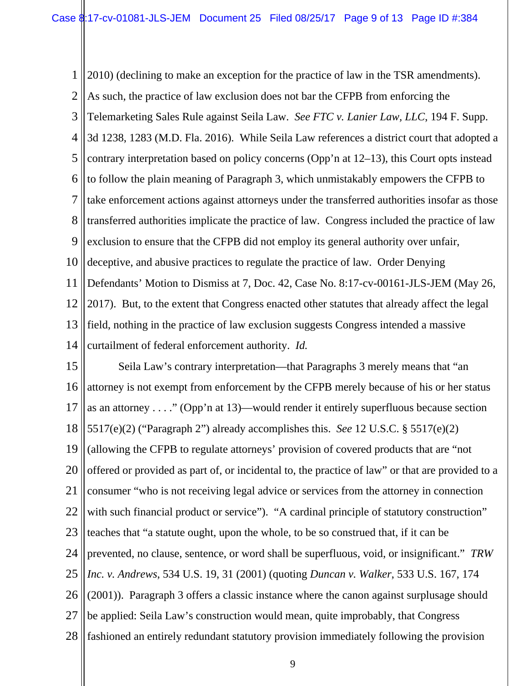1 2 3 4 5 6 7 8 9 10 11 12 13 14 2010) (declining to make an exception for the practice of law in the TSR amendments). As such, the practice of law exclusion does not bar the CFPB from enforcing the Telemarketing Sales Rule against Seila Law. *See FTC v. Lanier Law, LLC*, 194 F. Supp. 3d 1238, 1283 (M.D. Fla. 2016). While Seila Law references a district court that adopted a contrary interpretation based on policy concerns (Opp'n at 12–13), this Court opts instead to follow the plain meaning of Paragraph 3, which unmistakably empowers the CFPB to take enforcement actions against attorneys under the transferred authorities insofar as those transferred authorities implicate the practice of law. Congress included the practice of law exclusion to ensure that the CFPB did not employ its general authority over unfair, deceptive, and abusive practices to regulate the practice of law. Order Denying Defendants' Motion to Dismiss at 7, Doc. 42, Case No. 8:17-cv-00161-JLS-JEM (May 26, 2017). But, to the extent that Congress enacted other statutes that already affect the legal field, nothing in the practice of law exclusion suggests Congress intended a massive curtailment of federal enforcement authority. *Id.* 

15 16 17 18 19 20 21 22 23 24 25 26 27 28 Seila Law's contrary interpretation—that Paragraphs 3 merely means that "an attorney is not exempt from enforcement by the CFPB merely because of his or her status as an attorney . . . ." (Opp'n at 13)—would render it entirely superfluous because section 5517(e)(2) ("Paragraph 2") already accomplishes this. *See* 12 U.S.C. § 5517(e)(2) (allowing the CFPB to regulate attorneys' provision of covered products that are "not offered or provided as part of, or incidental to, the practice of law" or that are provided to a consumer "who is not receiving legal advice or services from the attorney in connection with such financial product or service"). "A cardinal principle of statutory construction" teaches that "a statute ought, upon the whole, to be so construed that, if it can be prevented, no clause, sentence, or word shall be superfluous, void, or insignificant." *TRW Inc. v. Andrews*, 534 U.S. 19, 31 (2001) (quoting *Duncan v. Walker*, 533 U.S. 167, 174 (2001)). Paragraph 3 offers a classic instance where the canon against surplusage should be applied: Seila Law's construction would mean, quite improbably, that Congress fashioned an entirely redundant statutory provision immediately following the provision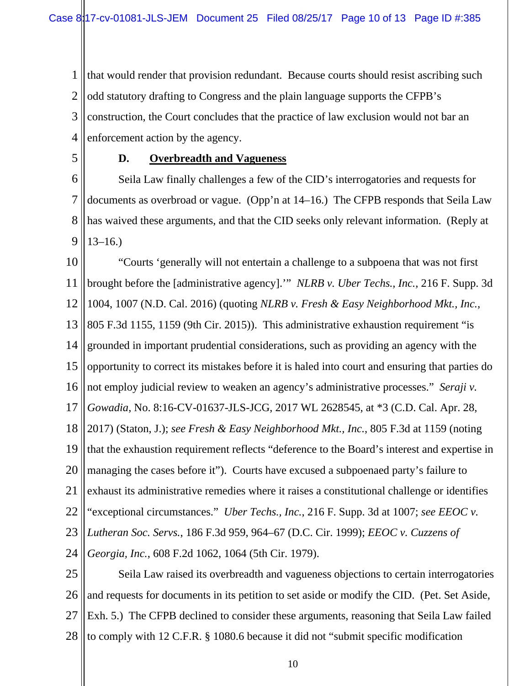1 2 3 4 that would render that provision redundant. Because courts should resist ascribing such odd statutory drafting to Congress and the plain language supports the CFPB's construction, the Court concludes that the practice of law exclusion would not bar an enforcement action by the agency.

5

## **D. Overbreadth and Vagueness**

6 7 8 9 Seila Law finally challenges a few of the CID's interrogatories and requests for documents as overbroad or vague. (Opp'n at 14–16.) The CFPB responds that Seila Law has waived these arguments, and that the CID seeks only relevant information. (Reply at  $13-16.$ 

10 11 12 13 14 15 16 17 18 19 20 21 22 23 24 25 "Courts 'generally will not entertain a challenge to a subpoena that was not first brought before the [administrative agency].'" *NLRB v. Uber Techs., Inc.*, 216 F. Supp. 3d 1004, 1007 (N.D. Cal. 2016) (quoting *NLRB v. Fresh & Easy Neighborhood Mkt., Inc.*, 805 F.3d 1155, 1159 (9th Cir. 2015)). This administrative exhaustion requirement "is grounded in important prudential considerations, such as providing an agency with the opportunity to correct its mistakes before it is haled into court and ensuring that parties do not employ judicial review to weaken an agency's administrative processes." *Seraji v. Gowadia*, No. 8:16-CV-01637-JLS-JCG, 2017 WL 2628545, at \*3 (C.D. Cal. Apr. 28, 2017) (Staton, J.); *see Fresh & Easy Neighborhood Mkt., Inc.*, 805 F.3d at 1159 (noting that the exhaustion requirement reflects "deference to the Board's interest and expertise in managing the cases before it"). Courts have excused a subpoenaed party's failure to exhaust its administrative remedies where it raises a constitutional challenge or identifies "exceptional circumstances." *Uber Techs., Inc.*, 216 F. Supp. 3d at 1007; *see EEOC v. Lutheran Soc. Servs.*, 186 F.3d 959, 964–67 (D.C. Cir. 1999); *EEOC v. Cuzzens of Georgia, Inc.*, 608 F.2d 1062, 1064 (5th Cir. 1979). Seila Law raised its overbreadth and vagueness objections to certain interrogatories

26 27 28 and requests for documents in its petition to set aside or modify the CID. (Pet. Set Aside, Exh. 5.) The CFPB declined to consider these arguments, reasoning that Seila Law failed to comply with 12 C.F.R. § 1080.6 because it did not "submit specific modification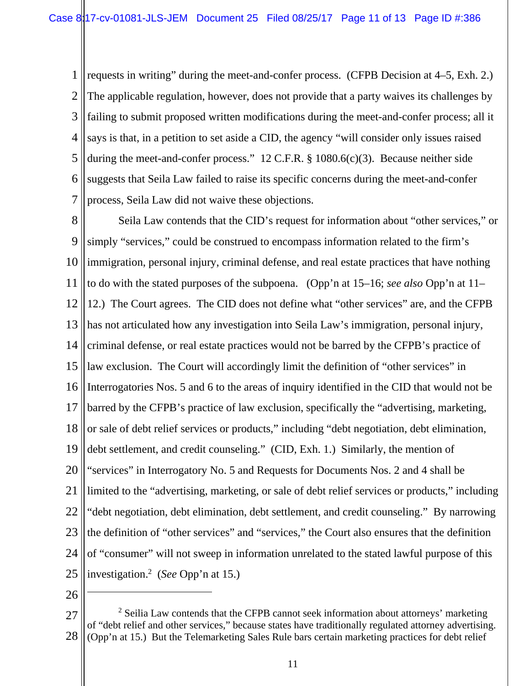1 2 3 4 5 6 7 requests in writing" during the meet-and-confer process. (CFPB Decision at 4–5, Exh. 2.) The applicable regulation, however, does not provide that a party waives its challenges by failing to submit proposed written modifications during the meet-and-confer process; all it says is that, in a petition to set aside a CID, the agency "will consider only issues raised during the meet-and-confer process." 12 C.F.R. § 1080.6(c)(3). Because neither side suggests that Seila Law failed to raise its specific concerns during the meet-and-confer process, Seila Law did not waive these objections.

8 9 10 11 12 13 14 15 16 17 18 19 20 21 22 23 24 25 Seila Law contends that the CID's request for information about "other services," or simply "services," could be construed to encompass information related to the firm's immigration, personal injury, criminal defense, and real estate practices that have nothing to do with the stated purposes of the subpoena. (Opp'n at 15–16; *see also* Opp'n at 11– 12.) The Court agrees. The CID does not define what "other services" are, and the CFPB has not articulated how any investigation into Seila Law's immigration, personal injury, criminal defense, or real estate practices would not be barred by the CFPB's practice of law exclusion. The Court will accordingly limit the definition of "other services" in Interrogatories Nos. 5 and 6 to the areas of inquiry identified in the CID that would not be barred by the CFPB's practice of law exclusion, specifically the "advertising, marketing, or sale of debt relief services or products," including "debt negotiation, debt elimination, debt settlement, and credit counseling." (CID, Exh. 1.) Similarly, the mention of "services" in Interrogatory No. 5 and Requests for Documents Nos. 2 and 4 shall be limited to the "advertising, marketing, or sale of debt relief services or products," including "debt negotiation, debt elimination, debt settlement, and credit counseling." By narrowing the definition of "other services" and "services," the Court also ensures that the definition of "consumer" will not sweep in information unrelated to the stated lawful purpose of this investigation.2 (*See* Opp'n at 15.)

26

 $\overline{a}$ 

<sup>27</sup> 28  $2$  Seilia Law contends that the CFPB cannot seek information about attorneys' marketing of "debt relief and other services," because states have traditionally regulated attorney advertising. (Opp'n at 15.) But the Telemarketing Sales Rule bars certain marketing practices for debt relief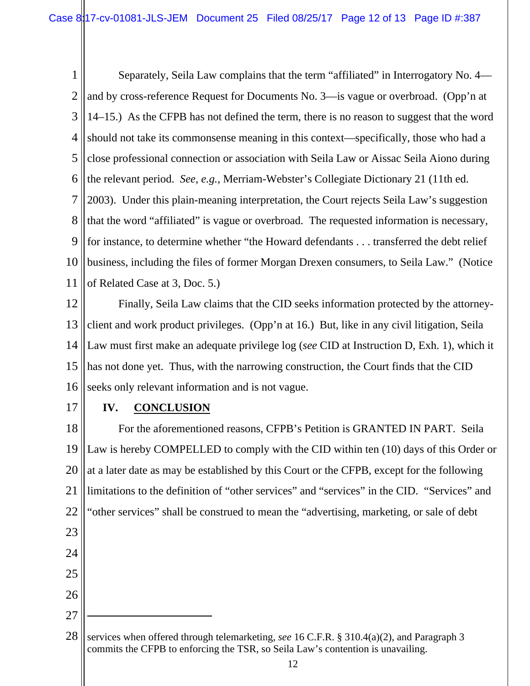1 2 3 4 5 6 7 8 9 10 11 Separately, Seila Law complains that the term "affiliated" in Interrogatory No. 4 and by cross-reference Request for Documents No. 3—is vague or overbroad. (Opp'n at 14–15.) As the CFPB has not defined the term, there is no reason to suggest that the word should not take its commonsense meaning in this context—specifically, those who had a close professional connection or association with Seila Law or Aissac Seila Aiono during the relevant period. *See, e.g.*, Merriam-Webster's Collegiate Dictionary 21 (11th ed. 2003). Under this plain-meaning interpretation, the Court rejects Seila Law's suggestion that the word "affiliated" is vague or overbroad. The requested information is necessary, for instance, to determine whether "the Howard defendants . . . transferred the debt relief business, including the files of former Morgan Drexen consumers, to Seila Law." (Notice of Related Case at 3, Doc. 5.)

12 13 14 15 16 Finally, Seila Law claims that the CID seeks information protected by the attorneyclient and work product privileges. (Opp'n at 16.) But, like in any civil litigation, Seila Law must first make an adequate privilege log (*see* CID at Instruction D, Exh. 1), which it has not done yet. Thus, with the narrowing construction, the Court finds that the CID seeks only relevant information and is not vague.

17

26

27

## **IV. CONCLUSION**

18 19 20 21 22 23 24 25 For the aforementioned reasons, CFPB's Petition is GRANTED IN PART. Seila Law is hereby COMPELLED to comply with the CID within ten (10) days of this Order or at a later date as may be established by this Court or the CFPB, except for the following limitations to the definition of "other services" and "services" in the CID. "Services" and "other services" shall be construed to mean the "advertising, marketing, or sale of debt

 $\overline{a}$ 

<sup>28</sup> services when offered through telemarketing, *see* 16 C.F.R. § 310.4(a)(2), and Paragraph 3 commits the CFPB to enforcing the TSR, so Seila Law's contention is unavailing.